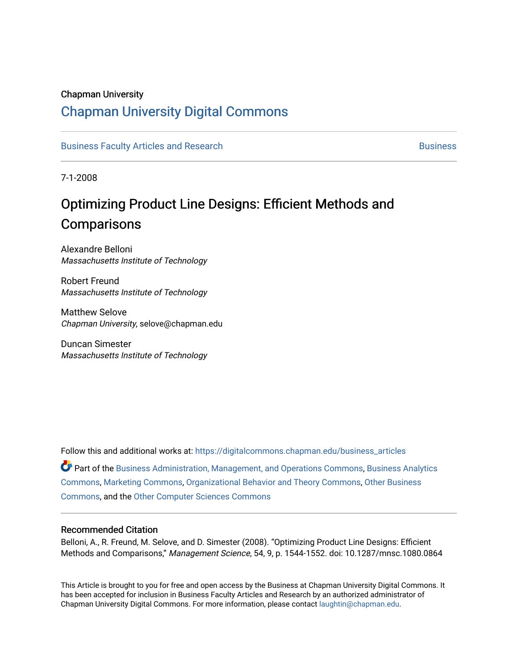#### Chapman University

## [Chapman University Digital Commons](https://digitalcommons.chapman.edu/)

[Business Faculty Articles and Research](https://digitalcommons.chapman.edu/business_articles) [Business](https://digitalcommons.chapman.edu/business) **Business** Business

7-1-2008

# Optimizing Product Line Designs: Efficient Methods and **Comparisons**

Alexandre Belloni Massachusetts Institute of Technology

Robert Freund Massachusetts Institute of Technology

Matthew Selove Chapman University, selove@chapman.edu

Duncan Simester Massachusetts Institute of Technology

Follow this and additional works at: [https://digitalcommons.chapman.edu/business\\_articles](https://digitalcommons.chapman.edu/business_articles?utm_source=digitalcommons.chapman.edu%2Fbusiness_articles%2F62&utm_medium=PDF&utm_campaign=PDFCoverPages) 

Part of the [Business Administration, Management, and Operations Commons](http://network.bepress.com/hgg/discipline/623?utm_source=digitalcommons.chapman.edu%2Fbusiness_articles%2F62&utm_medium=PDF&utm_campaign=PDFCoverPages), [Business Analytics](http://network.bepress.com/hgg/discipline/1398?utm_source=digitalcommons.chapman.edu%2Fbusiness_articles%2F62&utm_medium=PDF&utm_campaign=PDFCoverPages) [Commons](http://network.bepress.com/hgg/discipline/1398?utm_source=digitalcommons.chapman.edu%2Fbusiness_articles%2F62&utm_medium=PDF&utm_campaign=PDFCoverPages), [Marketing Commons,](http://network.bepress.com/hgg/discipline/638?utm_source=digitalcommons.chapman.edu%2Fbusiness_articles%2F62&utm_medium=PDF&utm_campaign=PDFCoverPages) [Organizational Behavior and Theory Commons,](http://network.bepress.com/hgg/discipline/639?utm_source=digitalcommons.chapman.edu%2Fbusiness_articles%2F62&utm_medium=PDF&utm_campaign=PDFCoverPages) [Other Business](http://network.bepress.com/hgg/discipline/647?utm_source=digitalcommons.chapman.edu%2Fbusiness_articles%2F62&utm_medium=PDF&utm_campaign=PDFCoverPages) [Commons](http://network.bepress.com/hgg/discipline/647?utm_source=digitalcommons.chapman.edu%2Fbusiness_articles%2F62&utm_medium=PDF&utm_campaign=PDFCoverPages), and the [Other Computer Sciences Commons](http://network.bepress.com/hgg/discipline/152?utm_source=digitalcommons.chapman.edu%2Fbusiness_articles%2F62&utm_medium=PDF&utm_campaign=PDFCoverPages)

#### Recommended Citation

Belloni, A., R. Freund, M. Selove, and D. Simester (2008). "Optimizing Product Line Designs: Efficient Methods and Comparisons," Management Science, 54, 9, p. 1544-1552. doi: 10.1287/mnsc.1080.0864

This Article is brought to you for free and open access by the Business at Chapman University Digital Commons. It has been accepted for inclusion in Business Faculty Articles and Research by an authorized administrator of Chapman University Digital Commons. For more information, please contact [laughtin@chapman.edu](mailto:laughtin@chapman.edu).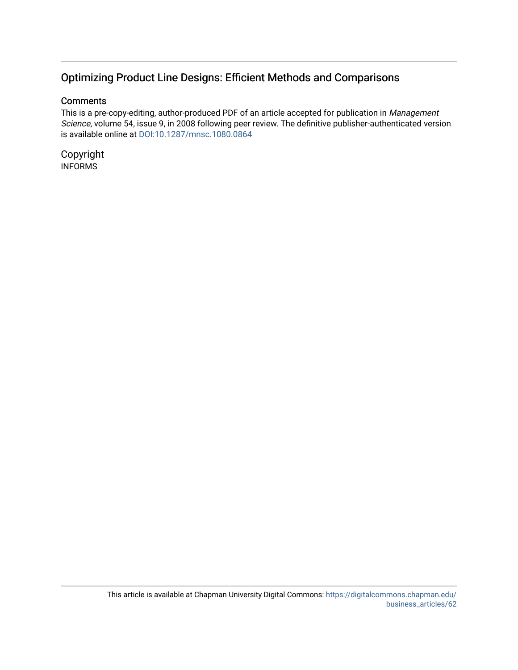### Optimizing Product Line Designs: Efficient Methods and Comparisons

#### **Comments**

This is a pre-copy-editing, author-produced PDF of an article accepted for publication in Management Science, volume 54, issue 9, in 2008 following peer review. The definitive publisher-authenticated version is available online at [DOI:10.1287/mnsc.1080.0864](https://doi.org/10.1287/mnsc.1080.0864)

Copyright INFORMS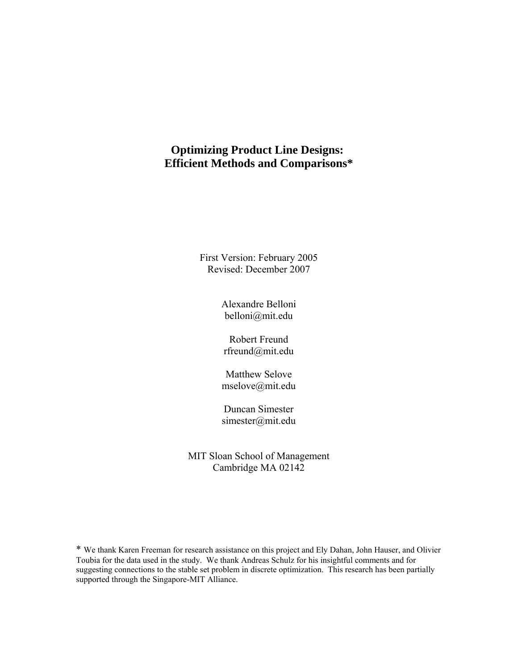### **Optimizing Product Line Designs: Efficient Methods and Comparisons\***

First Version: February 2005 Revised: December 2007

> Alexandre Belloni belloni@mit.edu

Robert Freund rfreund@mit.edu

Matthew Selove mselove@mit.edu

Duncan Simester simester@mit.edu

MIT Sloan School of Management Cambridge MA 02142

\* We thank Karen Freeman for research assistance on this project and Ely Dahan, John Hauser, and Olivier Toubia for the data used in the study. We thank Andreas Schulz for his insightful comments and for suggesting connections to the stable set problem in discrete optimization. This research has been partially supported through the Singapore-MIT Alliance.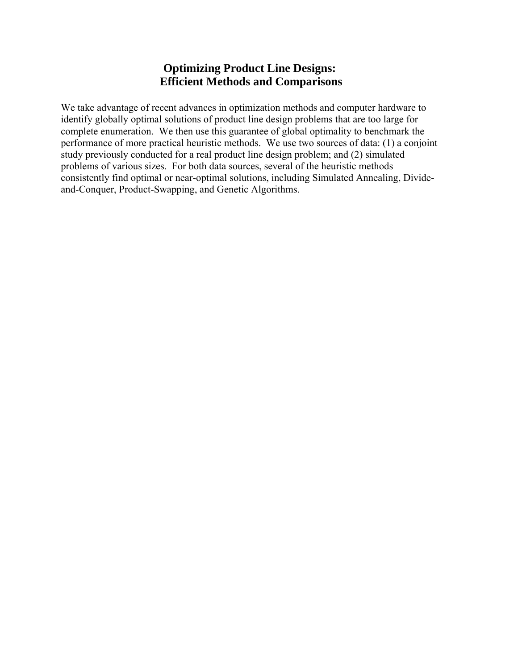### **Optimizing Product Line Designs: Efficient Methods and Comparisons**

We take advantage of recent advances in optimization methods and computer hardware to identify globally optimal solutions of product line design problems that are too large for complete enumeration. We then use this guarantee of global optimality to benchmark the performance of more practical heuristic methods. We use two sources of data: (1) a conjoint study previously conducted for a real product line design problem; and (2) simulated problems of various sizes. For both data sources, several of the heuristic methods consistently find optimal or near-optimal solutions, including Simulated Annealing, Divideand-Conquer, Product-Swapping, and Genetic Algorithms.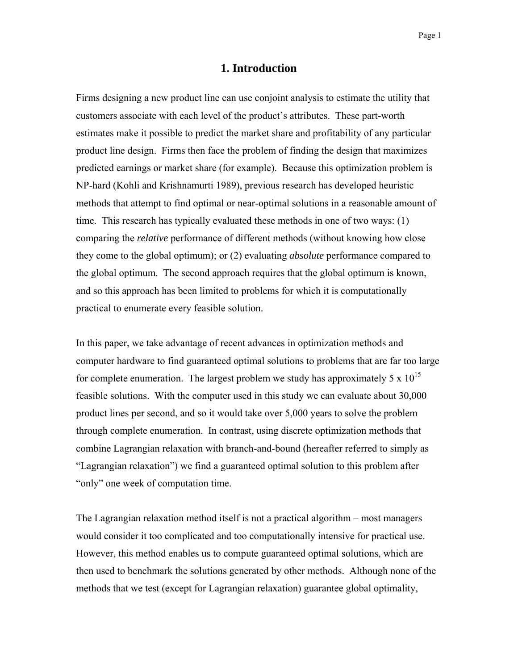#### **1. Introduction**

Firms designing a new product line can use conjoint analysis to estimate the utility that customers associate with each level of the product's attributes. These part-worth estimates make it possible to predict the market share and profitability of any particular product line design. Firms then face the problem of finding the design that maximizes predicted earnings or market share (for example). Because this optimization problem is NP-hard (Kohli and Krishnamurti 1989), previous research has developed heuristic methods that attempt to find optimal or near-optimal solutions in a reasonable amount of time. This research has typically evaluated these methods in one of two ways: (1) comparing the *relative* performance of different methods (without knowing how close they come to the global optimum); or (2) evaluating *absolute* performance compared to the global optimum. The second approach requires that the global optimum is known, and so this approach has been limited to problems for which it is computationally practical to enumerate every feasible solution.

In this paper, we take advantage of recent advances in optimization methods and computer hardware to find guaranteed optimal solutions to problems that are far too large for complete enumeration. The largest problem we study has approximately 5 x  $10^{15}$ feasible solutions. With the computer used in this study we can evaluate about 30,000 product lines per second, and so it would take over 5,000 years to solve the problem through complete enumeration. In contrast, using discrete optimization methods that combine Lagrangian relaxation with branch-and-bound (hereafter referred to simply as "Lagrangian relaxation") we find a guaranteed optimal solution to this problem after "only" one week of computation time.

The Lagrangian relaxation method itself is not a practical algorithm – most managers would consider it too complicated and too computationally intensive for practical use. However, this method enables us to compute guaranteed optimal solutions, which are then used to benchmark the solutions generated by other methods. Although none of the methods that we test (except for Lagrangian relaxation) guarantee global optimality,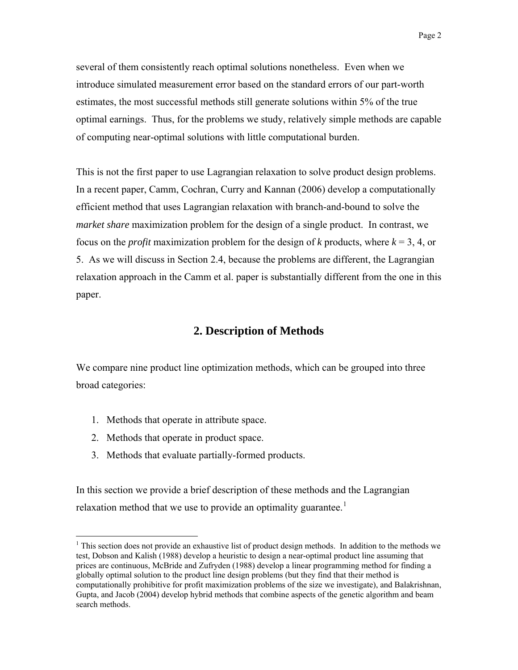several of them consistently reach optimal solutions nonetheless. Even when we introduce simulated measurement error based on the standard errors of our part-worth estimates, the most successful methods still generate solutions within 5% of the true optimal earnings. Thus, for the problems we study, relatively simple methods are capable of computing near-optimal solutions with little computational burden.

This is not the first paper to use Lagrangian relaxation to solve product design problems. In a recent paper, Camm, Cochran, Curry and Kannan (2006) develop a computationally efficient method that uses Lagrangian relaxation with branch-and-bound to solve the *market share* maximization problem for the design of a single product. In contrast, we focus on the *profit* maximization problem for the design of *k* products, where  $k = 3, 4$ , or 5. As we will discuss in Section 2.4, because the problems are different, the Lagrangian relaxation approach in the Camm et al. paper is substantially different from the one in this paper.

### **2. Description of Methods**

We compare nine product line optimization methods, which can be grouped into three broad categories:

- 1. Methods that operate in attribute space.
- 2. Methods that operate in product space.

 $\overline{a}$ 

3. Methods that evaluate partially-formed products.

In this section we provide a brief description of these methods and the Lagrangian relaxation method that we use to provide an optimality guarantee.<sup>[1](#page-5-0)</sup>

<span id="page-5-0"></span> $<sup>1</sup>$  This section does not provide an exhaustive list of product design methods. In addition to the methods we</sup> test, Dobson and Kalish (1988) develop a heuristic to design a near-optimal product line assuming that prices are continuous, McBride and Zufryden (1988) develop a linear programming method for finding a globally optimal solution to the product line design problems (but they find that their method is computationally prohibitive for profit maximization problems of the size we investigate), and Balakrishnan, Gupta, and Jacob (2004) develop hybrid methods that combine aspects of the genetic algorithm and beam search methods.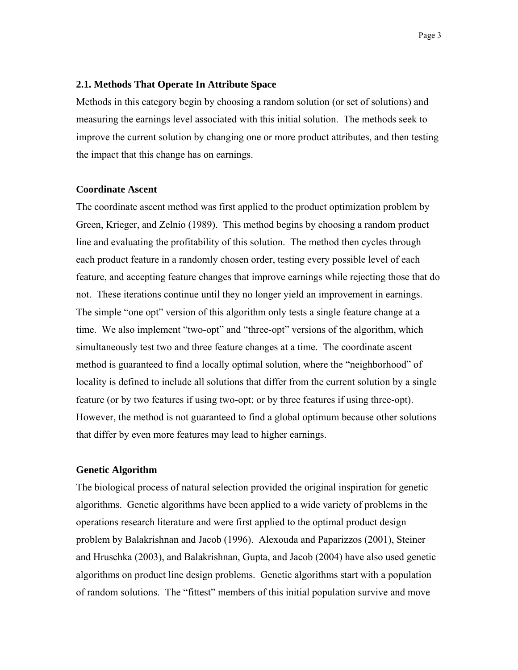#### **2.1. Methods That Operate In Attribute Space**

Methods in this category begin by choosing a random solution (or set of solutions) and measuring the earnings level associated with this initial solution. The methods seek to improve the current solution by changing one or more product attributes, and then testing the impact that this change has on earnings.

#### **Coordinate Ascent**

The coordinate ascent method was first applied to the product optimization problem by Green, Krieger, and Zelnio (1989). This method begins by choosing a random product line and evaluating the profitability of this solution. The method then cycles through each product feature in a randomly chosen order, testing every possible level of each feature, and accepting feature changes that improve earnings while rejecting those that do not. These iterations continue until they no longer yield an improvement in earnings. The simple "one opt" version of this algorithm only tests a single feature change at a time. We also implement "two-opt" and "three-opt" versions of the algorithm, which simultaneously test two and three feature changes at a time. The coordinate ascent method is guaranteed to find a locally optimal solution, where the "neighborhood" of locality is defined to include all solutions that differ from the current solution by a single feature (or by two features if using two-opt; or by three features if using three-opt). However, the method is not guaranteed to find a global optimum because other solutions that differ by even more features may lead to higher earnings.

#### **Genetic Algorithm**

The biological process of natural selection provided the original inspiration for genetic algorithms. Genetic algorithms have been applied to a wide variety of problems in the operations research literature and were first applied to the optimal product design problem by Balakrishnan and Jacob (1996). Alexouda and Paparizzos (2001), Steiner and Hruschka (2003), and Balakrishnan, Gupta, and Jacob (2004) have also used genetic algorithms on product line design problems. Genetic algorithms start with a population of random solutions. The "fittest" members of this initial population survive and move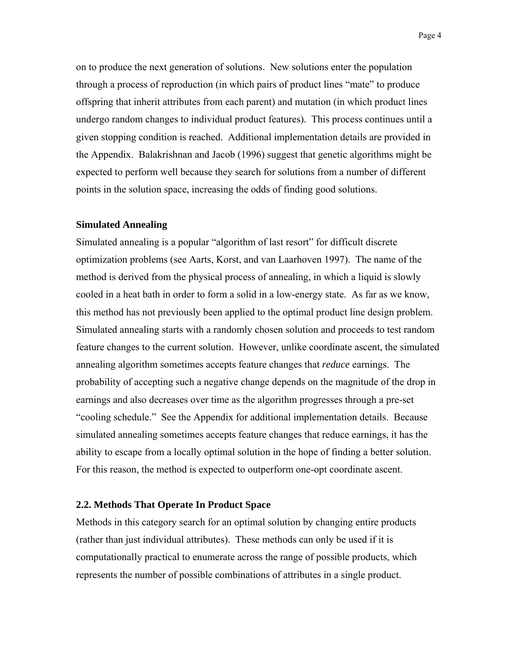Page 4

on to produce the next generation of solutions. New solutions enter the population through a process of reproduction (in which pairs of product lines "mate" to produce offspring that inherit attributes from each parent) and mutation (in which product lines undergo random changes to individual product features). This process continues until a given stopping condition is reached. Additional implementation details are provided in the Appendix. Balakrishnan and Jacob (1996) suggest that genetic algorithms might be expected to perform well because they search for solutions from a number of different points in the solution space, increasing the odds of finding good solutions.

#### **Simulated Annealing**

Simulated annealing is a popular "algorithm of last resort" for difficult discrete optimization problems (see Aarts, Korst, and van Laarhoven 1997). The name of the method is derived from the physical process of annealing, in which a liquid is slowly cooled in a heat bath in order to form a solid in a low-energy state. As far as we know, this method has not previously been applied to the optimal product line design problem. Simulated annealing starts with a randomly chosen solution and proceeds to test random feature changes to the current solution. However, unlike coordinate ascent, the simulated annealing algorithm sometimes accepts feature changes that *reduce* earnings. The probability of accepting such a negative change depends on the magnitude of the drop in earnings and also decreases over time as the algorithm progresses through a pre-set "cooling schedule." See the Appendix for additional implementation details. Because simulated annealing sometimes accepts feature changes that reduce earnings, it has the ability to escape from a locally optimal solution in the hope of finding a better solution. For this reason, the method is expected to outperform one-opt coordinate ascent.

#### **2.2. Methods That Operate In Product Space**

Methods in this category search for an optimal solution by changing entire products (rather than just individual attributes). These methods can only be used if it is computationally practical to enumerate across the range of possible products, which represents the number of possible combinations of attributes in a single product.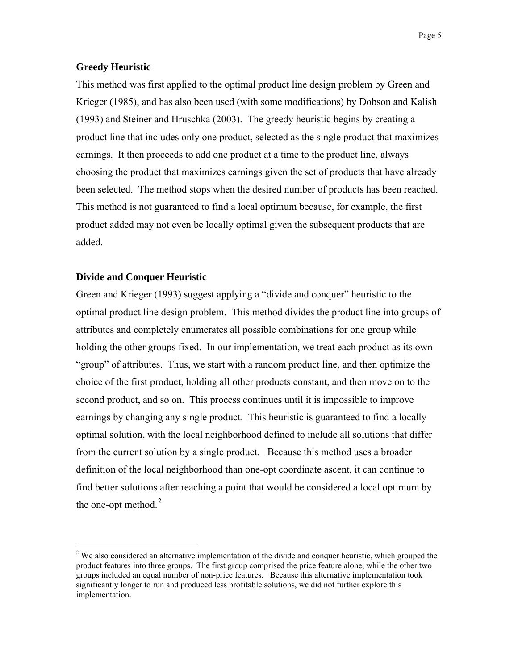#### **Greedy Heuristic**

This method was first applied to the optimal product line design problem by Green and Krieger (1985), and has also been used (with some modifications) by Dobson and Kalish (1993) and Steiner and Hruschka (2003). The greedy heuristic begins by creating a product line that includes only one product, selected as the single product that maximizes earnings. It then proceeds to add one product at a time to the product line, always choosing the product that maximizes earnings given the set of products that have already been selected. The method stops when the desired number of products has been reached. This method is not guaranteed to find a local optimum because, for example, the first product added may not even be locally optimal given the subsequent products that are added.

#### **Divide and Conquer Heuristic**

 $\overline{a}$ 

Green and Krieger (1993) suggest applying a "divide and conquer" heuristic to the optimal product line design problem. This method divides the product line into groups of attributes and completely enumerates all possible combinations for one group while holding the other groups fixed. In our implementation, we treat each product as its own "group" of attributes. Thus, we start with a random product line, and then optimize the choice of the first product, holding all other products constant, and then move on to the second product, and so on. This process continues until it is impossible to improve earnings by changing any single product. This heuristic is guaranteed to find a locally optimal solution, with the local neighborhood defined to include all solutions that differ from the current solution by a single product. Because this method uses a broader definition of the local neighborhood than one-opt coordinate ascent, it can continue to find better solutions after reaching a point that would be considered a local optimum by the one-opt method. $2$ 

<span id="page-8-0"></span> $2$  We also considered an alternative implementation of the divide and conquer heuristic, which grouped the product features into three groups. The first group comprised the price feature alone, while the other two groups included an equal number of non-price features. Because this alternative implementation took significantly longer to run and produced less profitable solutions, we did not further explore this implementation.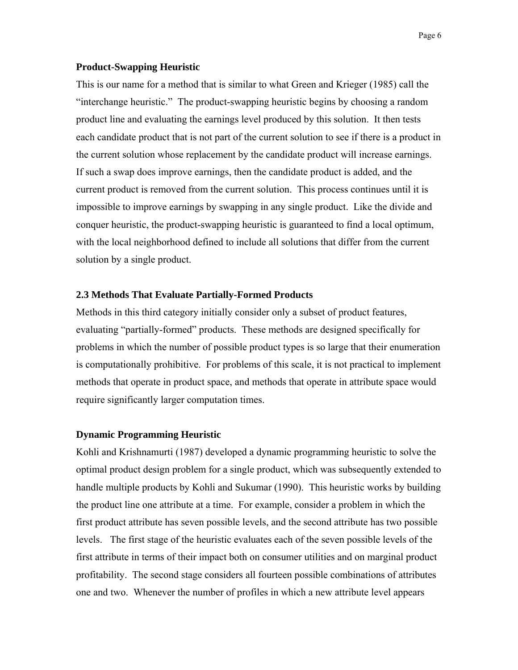#### **Product-Swapping Heuristic**

This is our name for a method that is similar to what Green and Krieger (1985) call the "interchange heuristic." The product-swapping heuristic begins by choosing a random product line and evaluating the earnings level produced by this solution. It then tests each candidate product that is not part of the current solution to see if there is a product in the current solution whose replacement by the candidate product will increase earnings. If such a swap does improve earnings, then the candidate product is added, and the current product is removed from the current solution. This process continues until it is impossible to improve earnings by swapping in any single product. Like the divide and conquer heuristic, the product-swapping heuristic is guaranteed to find a local optimum, with the local neighborhood defined to include all solutions that differ from the current solution by a single product.

#### **2.3 Methods That Evaluate Partially-Formed Products**

Methods in this third category initially consider only a subset of product features, evaluating "partially-formed" products. These methods are designed specifically for problems in which the number of possible product types is so large that their enumeration is computationally prohibitive. For problems of this scale, it is not practical to implement methods that operate in product space, and methods that operate in attribute space would require significantly larger computation times.

#### **Dynamic Programming Heuristic**

Kohli and Krishnamurti (1987) developed a dynamic programming heuristic to solve the optimal product design problem for a single product, which was subsequently extended to handle multiple products by Kohli and Sukumar (1990). This heuristic works by building the product line one attribute at a time. For example, consider a problem in which the first product attribute has seven possible levels, and the second attribute has two possible levels. The first stage of the heuristic evaluates each of the seven possible levels of the first attribute in terms of their impact both on consumer utilities and on marginal product profitability. The second stage considers all fourteen possible combinations of attributes one and two. Whenever the number of profiles in which a new attribute level appears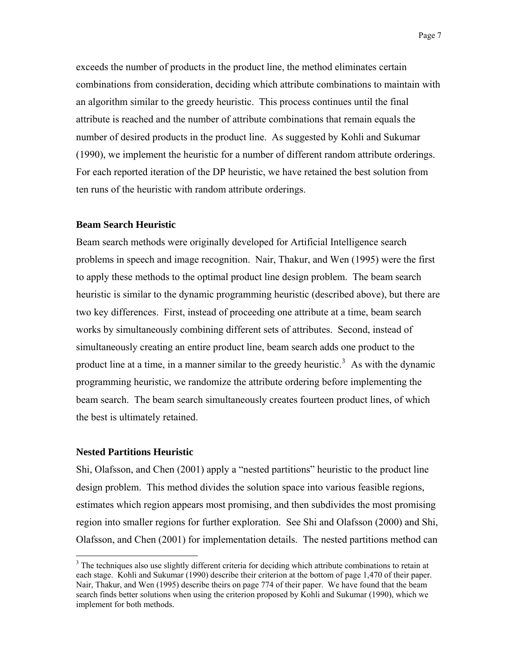exceeds the number of products in the product line, the method eliminates certain combinations from consideration, deciding which attribute combinations to maintain with an algorithm similar to the greedy heuristic. This process continues until the final attribute is reached and the number of attribute combinations that remain equals the number of desired products in the product line. As suggested by Kohli and Sukumar (1990), we implement the heuristic for a number of different random attribute orderings. For each reported iteration of the DP heuristic, we have retained the best solution from ten runs of the heuristic with random attribute orderings.

#### **Beam Search Heuristic**

Beam search methods were originally developed for Artificial Intelligence search problems in speech and image recognition. Nair, Thakur, and Wen (1995) were the first to apply these methods to the optimal product line design problem. The beam search heuristic is similar to the dynamic programming heuristic (described above), but there are two key differences. First, instead of proceeding one attribute at a time, beam search works by simultaneously combining different sets of attributes. Second, instead of simultaneously creating an entire product line, beam search adds one product to the product line at a time, in a manner similar to the greedy heuristic.<sup>[3](#page-10-0)</sup> As with the dynamic programming heuristic, we randomize the attribute ordering before implementing the beam search. The beam search simultaneously creates fourteen product lines, of which the best is ultimately retained.

#### **Nested Partitions Heuristic**

 $\overline{a}$ 

Shi, Olafsson, and Chen (2001) apply a "nested partitions" heuristic to the product line design problem. This method divides the solution space into various feasible regions, estimates which region appears most promising, and then subdivides the most promising region into smaller regions for further exploration. See Shi and Olafsson (2000) and Shi, Olafsson, and Chen (2001) for implementation details. The nested partitions method can

<span id="page-10-0"></span><sup>&</sup>lt;sup>3</sup> The techniques also use slightly different criteria for deciding which attribute combinations to retain at each stage. Kohli and Sukumar (1990) describe their criterion at the bottom of page 1,470 of their paper. Nair, Thakur, and Wen (1995) describe theirs on page 774 of their paper. We have found that the beam search finds better solutions when using the criterion proposed by Kohli and Sukumar (1990), which we implement for both methods.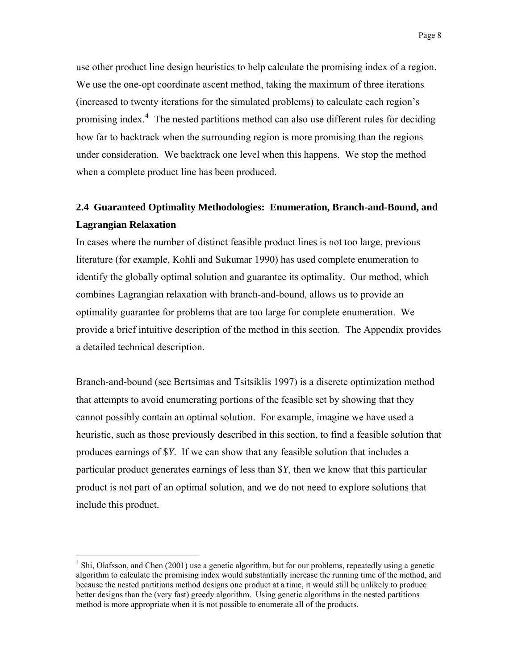use other product line design heuristics to help calculate the promising index of a region. We use the one-opt coordinate ascent method, taking the maximum of three iterations (increased to twenty iterations for the simulated problems) to calculate each region's promising index.<sup>[4](#page-11-0)</sup> The nested partitions method can also use different rules for deciding how far to backtrack when the surrounding region is more promising than the regions under consideration. We backtrack one level when this happens. We stop the method when a complete product line has been produced.

### **2.4 Guaranteed Optimality Methodologies: Enumeration, Branch-and-Bound, and Lagrangian Relaxation**

In cases where the number of distinct feasible product lines is not too large, previous literature (for example, Kohli and Sukumar 1990) has used complete enumeration to identify the globally optimal solution and guarantee its optimality. Our method, which combines Lagrangian relaxation with branch-and-bound, allows us to provide an optimality guarantee for problems that are too large for complete enumeration. We provide a brief intuitive description of the method in this section. The Appendix provides a detailed technical description.

Branch-and-bound (see Bertsimas and Tsitsiklis 1997) is a discrete optimization method that attempts to avoid enumerating portions of the feasible set by showing that they cannot possibly contain an optimal solution. For example, imagine we have used a heuristic, such as those previously described in this section, to find a feasible solution that produces earnings of \$*Y*. If we can show that any feasible solution that includes a particular product generates earnings of less than \$*Y*, then we know that this particular product is not part of an optimal solution, and we do not need to explore solutions that include this product.

1

<span id="page-11-0"></span><sup>&</sup>lt;sup>4</sup> Shi, Olafsson, and Chen (2001) use a genetic algorithm, but for our problems, repeatedly using a genetic algorithm to calculate the promising index would substantially increase the running time of the method, and because the nested partitions method designs one product at a time, it would still be unlikely to produce better designs than the (very fast) greedy algorithm. Using genetic algorithms in the nested partitions method is more appropriate when it is not possible to enumerate all of the products.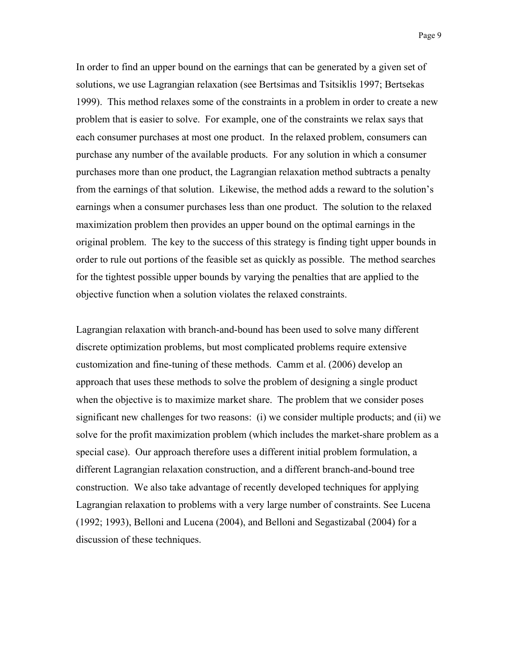In order to find an upper bound on the earnings that can be generated by a given set of solutions, we use Lagrangian relaxation (see Bertsimas and Tsitsiklis 1997; Bertsekas 1999). This method relaxes some of the constraints in a problem in order to create a new problem that is easier to solve. For example, one of the constraints we relax says that each consumer purchases at most one product. In the relaxed problem, consumers can purchase any number of the available products. For any solution in which a consumer purchases more than one product, the Lagrangian relaxation method subtracts a penalty from the earnings of that solution. Likewise, the method adds a reward to the solution's earnings when a consumer purchases less than one product. The solution to the relaxed maximization problem then provides an upper bound on the optimal earnings in the original problem. The key to the success of this strategy is finding tight upper bounds in order to rule out portions of the feasible set as quickly as possible. The method searches for the tightest possible upper bounds by varying the penalties that are applied to the objective function when a solution violates the relaxed constraints.

Lagrangian relaxation with branch-and-bound has been used to solve many different discrete optimization problems, but most complicated problems require extensive customization and fine-tuning of these methods. Camm et al. (2006) develop an approach that uses these methods to solve the problem of designing a single product when the objective is to maximize market share. The problem that we consider poses significant new challenges for two reasons: (i) we consider multiple products; and (ii) we solve for the profit maximization problem (which includes the market-share problem as a special case). Our approach therefore uses a different initial problem formulation, a different Lagrangian relaxation construction, and a different branch-and-bound tree construction. We also take advantage of recently developed techniques for applying Lagrangian relaxation to problems with a very large number of constraints. See Lucena (1992; 1993), Belloni and Lucena (2004), and Belloni and Segastizabal (2004) for a discussion of these techniques.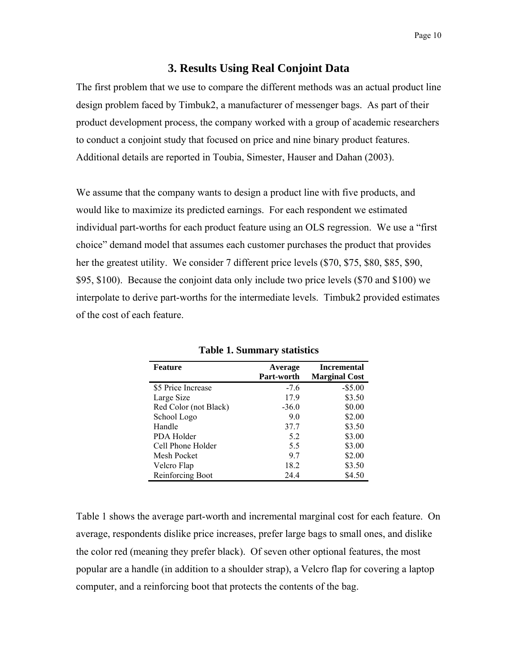#### **3. Results Using Real Conjoint Data**

The first problem that we use to compare the different methods was an actual product line design problem faced by Timbuk2, a manufacturer of messenger bags. As part of their product development process, the company worked with a group of academic researchers to conduct a conjoint study that focused on price and nine binary product features. Additional details are reported in Toubia, Simester, Hauser and Dahan (2003).

We assume that the company wants to design a product line with five products, and would like to maximize its predicted earnings. For each respondent we estimated individual part-worths for each product feature using an OLS regression. We use a "first choice" demand model that assumes each customer purchases the product that provides her the greatest utility. We consider 7 different price levels (\$70, \$75, \$80, \$85, \$90, \$95, \$100). Because the conjoint data only include two price levels (\$70 and \$100) we interpolate to derive part-worths for the intermediate levels. Timbuk2 provided estimates of the cost of each feature.

| <b>Feature</b>        | Average    | <b>Incremental</b>   |
|-----------------------|------------|----------------------|
|                       | Part-worth | <b>Marginal Cost</b> |
| \$5 Price Increase    | $-7.6$     | $-$ \$5.00           |
| Large Size            | 17.9       | \$3.50               |
| Red Color (not Black) | $-36.0$    | \$0.00               |
| School Logo           | 9.0        | \$2.00               |
| Handle                | 37.7       | \$3.50               |
| PDA Holder            | 5.2        | \$3.00               |
| Cell Phone Holder     | 5.5        | \$3.00               |
| Mesh Pocket           | 9.7        | \$2.00               |
| Velcro Flap           | 18.2       | \$3.50               |
| Reinforcing Boot      | 24.4       | \$4.50               |

**Table 1. Summary statistics** 

Table 1 shows the average part-worth and incremental marginal cost for each feature. On average, respondents dislike price increases, prefer large bags to small ones, and dislike the color red (meaning they prefer black). Of seven other optional features, the most popular are a handle (in addition to a shoulder strap), a Velcro flap for covering a laptop computer, and a reinforcing boot that protects the contents of the bag.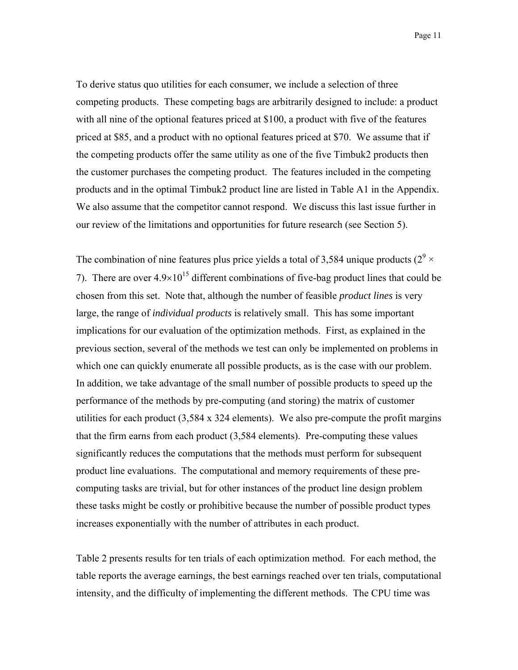Page 11

To derive status quo utilities for each consumer, we include a selection of three competing products. These competing bags are arbitrarily designed to include: a product with all nine of the optional features priced at \$100, a product with five of the features priced at \$85, and a product with no optional features priced at \$70. We assume that if the competing products offer the same utility as one of the five Timbuk2 products then the customer purchases the competing product. The features included in the competing products and in the optimal Timbuk2 product line are listed in Table A1 in the Appendix. We also assume that the competitor cannot respond. We discuss this last issue further in our review of the limitations and opportunities for future research (see Section 5).

The combination of nine features plus price yields a total of 3,584 unique products ( $2^9 \times$ 7). There are over  $4.9 \times 10^{15}$  different combinations of five-bag product lines that could be chosen from this set. Note that, although the number of feasible *product lines* is very large, the range of *individual products* is relatively small. This has some important implications for our evaluation of the optimization methods. First, as explained in the previous section, several of the methods we test can only be implemented on problems in which one can quickly enumerate all possible products, as is the case with our problem. In addition, we take advantage of the small number of possible products to speed up the performance of the methods by pre-computing (and storing) the matrix of customer utilities for each product (3,584 x 324 elements). We also pre-compute the profit margins that the firm earns from each product (3,584 elements). Pre-computing these values significantly reduces the computations that the methods must perform for subsequent product line evaluations. The computational and memory requirements of these precomputing tasks are trivial, but for other instances of the product line design problem these tasks might be costly or prohibitive because the number of possible product types increases exponentially with the number of attributes in each product.

Table 2 presents results for ten trials of each optimization method. For each method, the table reports the average earnings, the best earnings reached over ten trials, computational intensity, and the difficulty of implementing the different methods. The CPU time was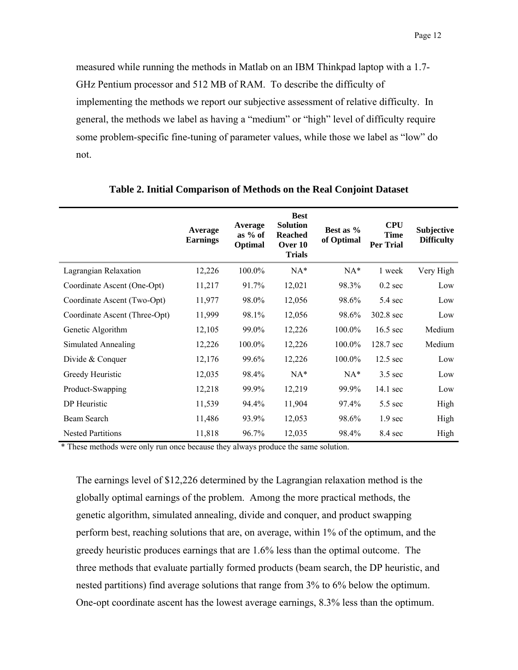measured while running the methods in Matlab on an IBM Thinkpad laptop with a 1.7- GHz Pentium processor and 512 MB of RAM. To describe the difficulty of implementing the methods we report our subjective assessment of relative difficulty. In general, the methods we label as having a "medium" or "high" level of difficulty require some problem-specific fine-tuning of parameter values, while those we label as "low" do not.

|                               | Average<br><b>Earnings</b> | Average<br>as $%$ of<br>Optimal | <b>Best</b><br><b>Solution</b><br><b>Reached</b><br>Over 10<br><b>Trials</b> | Best as %<br>of Optimal | <b>CPU</b><br><b>Time</b><br><b>Per Trial</b> | <b>Subjective</b><br><b>Difficulty</b> |
|-------------------------------|----------------------------|---------------------------------|------------------------------------------------------------------------------|-------------------------|-----------------------------------------------|----------------------------------------|
| Lagrangian Relaxation         | 12,226                     | 100.0%                          | $NA*$                                                                        | $NA*$                   | 1 week                                        | Very High                              |
| Coordinate Ascent (One-Opt)   | 11,217                     | 91.7%                           | 12,021                                                                       | 98.3%                   | $0.2 \text{ sec}$                             | Low                                    |
| Coordinate Ascent (Two-Opt)   | 11,977                     | 98.0%                           | 12,056                                                                       | 98.6%                   | $5.4 \text{ sec}$                             | Low                                    |
| Coordinate Ascent (Three-Opt) | 11,999                     | 98.1%                           | 12,056                                                                       | 98.6%                   | 302.8 sec                                     | Low                                    |
| Genetic Algorithm             | 12,105                     | 99.0%                           | 12,226                                                                       | 100.0%                  | $16.5 \text{ sec}$                            | Medium                                 |
| Simulated Annealing           | 12,226                     | 100.0%                          | 12,226                                                                       | 100.0%                  | 128.7 sec                                     | Medium                                 |
| Divide & Conquer              | 12,176                     | 99.6%                           | 12,226                                                                       | 100.0%                  | $12.5 \text{ sec}$                            | Low                                    |
| Greedy Heuristic              | 12,035                     | 98.4%                           | $NA*$                                                                        | $NA*$                   | $3.5$ sec                                     | Low                                    |
| Product-Swapping              | 12,218                     | 99.9%                           | 12,219                                                                       | 99.9%                   | 14.1 sec                                      | Low                                    |
| DP Heuristic                  | 11,539                     | 94.4%                           | 11,904                                                                       | 97.4%                   | $5.5 \text{ sec}$                             | High                                   |
| Beam Search                   | 11,486                     | 93.9%                           | 12,053                                                                       | 98.6%                   | 1.9 <sub>sec</sub>                            | High                                   |
| <b>Nested Partitions</b>      | 11,818                     | 96.7%                           | 12,035                                                                       | 98.4%                   | 8.4 sec                                       | High                                   |

**Table 2. Initial Comparison of Methods on the Real Conjoint Dataset** 

\* These methods were only run once because they always produce the same solution.

The earnings level of \$12,226 determined by the Lagrangian relaxation method is the globally optimal earnings of the problem. Among the more practical methods, the genetic algorithm, simulated annealing, divide and conquer, and product swapping perform best, reaching solutions that are, on average, within 1% of the optimum, and the greedy heuristic produces earnings that are 1.6% less than the optimal outcome. The three methods that evaluate partially formed products (beam search, the DP heuristic, and nested partitions) find average solutions that range from 3% to 6% below the optimum. One-opt coordinate ascent has the lowest average earnings, 8.3% less than the optimum.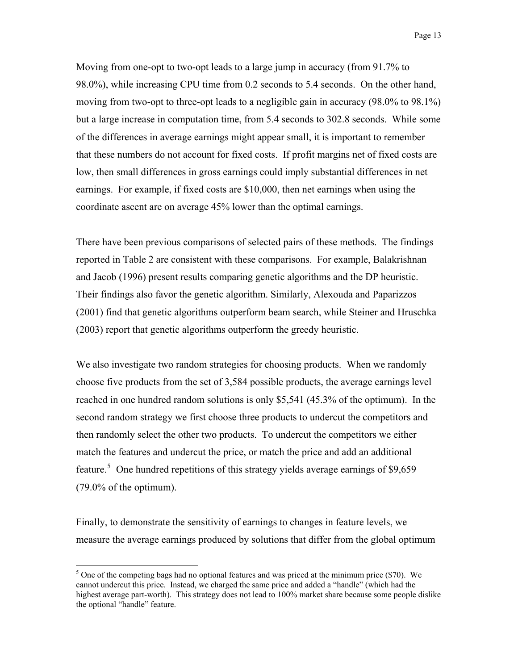Page 13

Moving from one-opt to two-opt leads to a large jump in accuracy (from 91.7% to 98.0%), while increasing CPU time from 0.2 seconds to 5.4 seconds. On the other hand, moving from two-opt to three-opt leads to a negligible gain in accuracy (98.0% to 98.1%) but a large increase in computation time, from 5.4 seconds to 302.8 seconds. While some of the differences in average earnings might appear small, it is important to remember that these numbers do not account for fixed costs. If profit margins net of fixed costs are low, then small differences in gross earnings could imply substantial differences in net earnings. For example, if fixed costs are \$10,000, then net earnings when using the coordinate ascent are on average 45% lower than the optimal earnings.

There have been previous comparisons of selected pairs of these methods. The findings reported in Table 2 are consistent with these comparisons. For example, Balakrishnan and Jacob (1996) present results comparing genetic algorithms and the DP heuristic. Their findings also favor the genetic algorithm. Similarly, Alexouda and Paparizzos (2001) find that genetic algorithms outperform beam search, while Steiner and Hruschka (2003) report that genetic algorithms outperform the greedy heuristic.

We also investigate two random strategies for choosing products. When we randomly choose five products from the set of 3,584 possible products, the average earnings level reached in one hundred random solutions is only \$5,541 (45.3% of the optimum). In the second random strategy we first choose three products to undercut the competitors and then randomly select the other two products. To undercut the competitors we either match the features and undercut the price, or match the price and add an additional feature.<sup>[5](#page-16-0)</sup> One hundred repetitions of this strategy yields average earnings of \$9,659 (79.0% of the optimum).

Finally, to demonstrate the sensitivity of earnings to changes in feature levels, we measure the average earnings produced by solutions that differ from the global optimum

 $\overline{a}$ 

<span id="page-16-0"></span> $<sup>5</sup>$  One of the competing bags had no optional features and was priced at the minimum price (\$70). We</sup> cannot undercut this price. Instead, we charged the same price and added a "handle" (which had the highest average part-worth). This strategy does not lead to 100% market share because some people dislike the optional "handle" feature.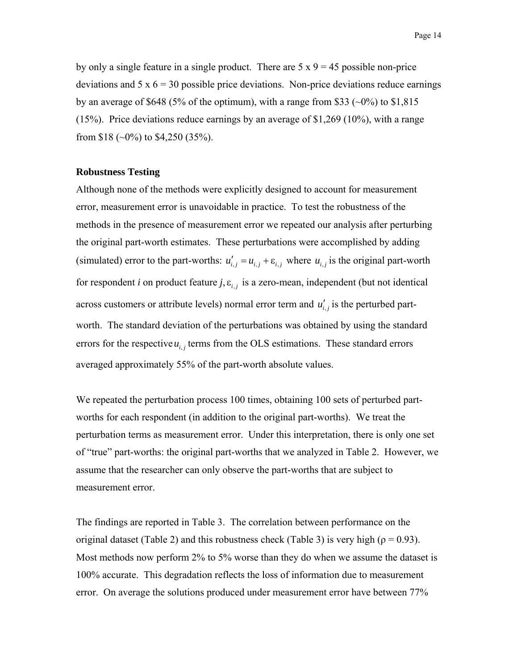by only a single feature in a single product. There are  $5 \times 9 = 45$  possible non-price deviations and  $5 \times 6 = 30$  possible price deviations. Non-price deviations reduce earnings by an average of \$648 (5% of the optimum), with a range from \$33 ( $\sim 0\%$ ) to \$1,815 (15%). Price deviations reduce earnings by an average of \$1,269 (10%), with a range from \$18 ( $\sim$ 0%) to \$4,250 (35%).

#### **Robustness Testing**

Although none of the methods were explicitly designed to account for measurement error, measurement error is unavoidable in practice. To test the robustness of the methods in the presence of measurement error we repeated our analysis after perturbing the original part-worth estimates. These perturbations were accomplished by adding (simulated) error to the part-worths:  $u'_{i,j} = u_{i,j} + \varepsilon_{i,j}$  where  $u_{i,j}$  is the original part-worth for respondent *i* on product feature *j*,  $\varepsilon$ <sub>*i, j*</sub> is a zero-mean, independent (but not identical across customers or attribute levels) normal error term and  $u'_{i,j}$  is the perturbed partworth. The standard deviation of the perturbations was obtained by using the standard errors for the respective  $u_{i,j}$  terms from the OLS estimations. These standard errors averaged approximately 55% of the part-worth absolute values.

We repeated the perturbation process 100 times, obtaining 100 sets of perturbed partworths for each respondent (in addition to the original part-worths). We treat the perturbation terms as measurement error. Under this interpretation, there is only one set of "true" part-worths: the original part-worths that we analyzed in Table 2. However, we assume that the researcher can only observe the part-worths that are subject to measurement error.

The findings are reported in Table 3. The correlation between performance on the original dataset (Table 2) and this robustness check (Table 3) is very high ( $\rho = 0.93$ ). Most methods now perform 2% to 5% worse than they do when we assume the dataset is 100% accurate. This degradation reflects the loss of information due to measurement error. On average the solutions produced under measurement error have between 77%

Page 14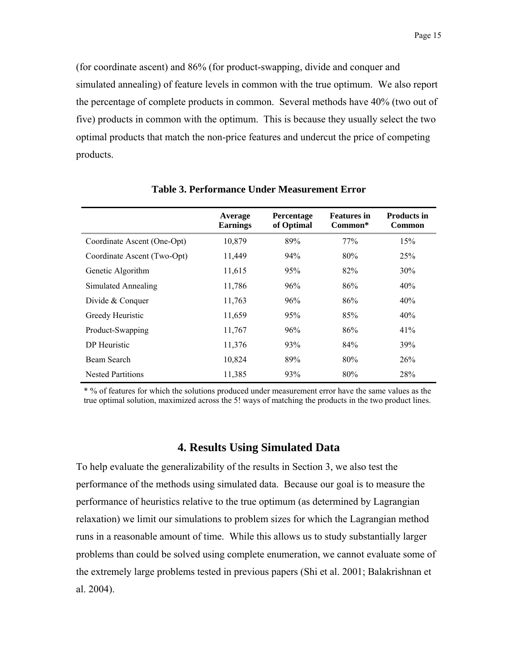(for coordinate ascent) and 86% (for product-swapping, divide and conquer and simulated annealing) of feature levels in common with the true optimum. We also report the percentage of complete products in common. Several methods have 40% (two out of five) products in common with the optimum. This is because they usually select the two optimal products that match the non-price features and undercut the price of competing products.

|                             | Average<br><b>Earnings</b> | Percentage<br>of Optimal | <b>Features</b> in<br>Common* | <b>Products in</b><br>Common |
|-----------------------------|----------------------------|--------------------------|-------------------------------|------------------------------|
| Coordinate Ascent (One-Opt) | 10,879                     | 89%                      | 77%                           | 15%                          |
| Coordinate Ascent (Two-Opt) | 11,449                     | 94%                      | 80%                           | 25%                          |
| Genetic Algorithm           | 11,615                     | 95%                      | 82%                           | $30\%$                       |
| Simulated Annealing         | 11,786                     | 96%                      | 86%                           | 40%                          |
| Divide & Conquer            | 11,763                     | 96%                      | 86%                           | 40%                          |
| Greedy Heuristic            | 11,659                     | 95%                      | 85%                           | 40%                          |
| Product-Swapping            | 11,767                     | 96%                      | 86%                           | 41%                          |
| DP Heuristic                | 11,376                     | 93%                      | 84%                           | 39%                          |
| Beam Search                 | 10,824                     | 89%                      | 80%                           | 26%                          |
| <b>Nested Partitions</b>    | 11,385                     | 93%                      | 80%                           | 28%                          |

**Table 3. Performance Under Measurement Error** 

\* % of features for which the solutions produced under measurement error have the same values as the true optimal solution, maximized across the 5! ways of matching the products in the two product lines.

#### **4. Results Using Simulated Data**

To help evaluate the generalizability of the results in Section 3, we also test the performance of the methods using simulated data. Because our goal is to measure the performance of heuristics relative to the true optimum (as determined by Lagrangian relaxation) we limit our simulations to problem sizes for which the Lagrangian method runs in a reasonable amount of time. While this allows us to study substantially larger problems than could be solved using complete enumeration, we cannot evaluate some of the extremely large problems tested in previous papers (Shi et al. 2001; Balakrishnan et al. 2004).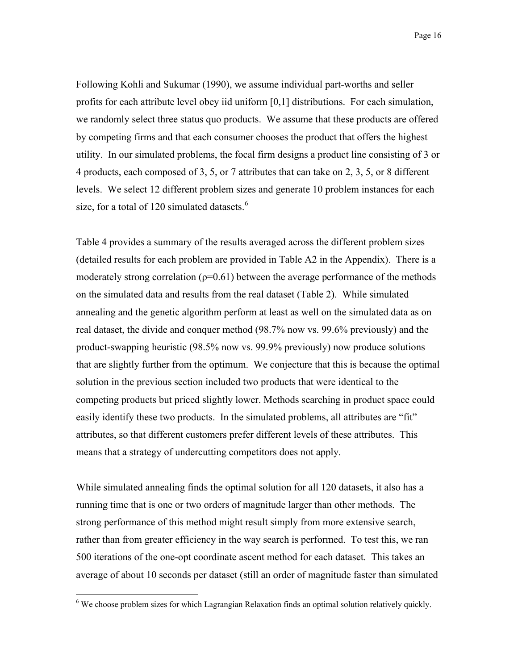Page 16

Following Kohli and Sukumar (1990), we assume individual part-worths and seller profits for each attribute level obey iid uniform [0,1] distributions. For each simulation, we randomly select three status quo products. We assume that these products are offered by competing firms and that each consumer chooses the product that offers the highest utility. In our simulated problems, the focal firm designs a product line consisting of 3 or 4 products, each composed of 3, 5, or 7 attributes that can take on 2, 3, 5, or 8 different levels. We select 12 different problem sizes and generate 10 problem instances for each size, for a total of 120 simulated datasets. $6$ 

Table 4 provides a summary of the results averaged across the different problem sizes (detailed results for each problem are provided in Table A2 in the Appendix). There is a moderately strong correlation ( $p=0.61$ ) between the average performance of the methods on the simulated data and results from the real dataset (Table 2). While simulated annealing and the genetic algorithm perform at least as well on the simulated data as on real dataset, the divide and conquer method (98.7% now vs. 99.6% previously) and the product-swapping heuristic (98.5% now vs. 99.9% previously) now produce solutions that are slightly further from the optimum. We conjecture that this is because the optimal solution in the previous section included two products that were identical to the competing products but priced slightly lower. Methods searching in product space could easily identify these two products. In the simulated problems, all attributes are "fit" attributes, so that different customers prefer different levels of these attributes. This means that a strategy of undercutting competitors does not apply.

While simulated annealing finds the optimal solution for all 120 datasets, it also has a running time that is one or two orders of magnitude larger than other methods. The strong performance of this method might result simply from more extensive search, rather than from greater efficiency in the way search is performed. To test this, we ran 500 iterations of the one-opt coordinate ascent method for each dataset. This takes an average of about 10 seconds per dataset (still an order of magnitude faster than simulated

<span id="page-19-0"></span> 6 We choose problem sizes for which Lagrangian Relaxation finds an optimal solution relatively quickly.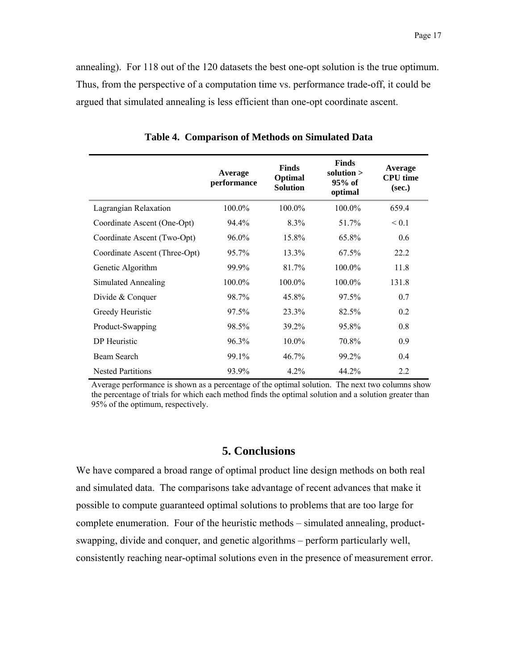annealing). For 118 out of the 120 datasets the best one-opt solution is the true optimum. Thus, from the perspective of a computation time vs. performance trade-off, it could be argued that simulated annealing is less efficient than one-opt coordinate ascent.

|                               | <b>Average</b><br>performance | <b>Finds</b><br>Optimal<br><b>Solution</b> | <b>Finds</b><br>solution $>$<br>$95%$ of<br>optimal | Average<br><b>CPU</b> time<br>(sec.) |
|-------------------------------|-------------------------------|--------------------------------------------|-----------------------------------------------------|--------------------------------------|
| Lagrangian Relaxation         | $100.0\%$                     | 100.0%                                     | 100.0%                                              | 659.4                                |
| Coordinate Ascent (One-Opt)   | 94.4%                         | 8.3%                                       | 51.7%                                               | ${}_{0.1}$                           |
| Coordinate Ascent (Two-Opt)   | 96.0%                         | 15.8%                                      | 65.8%                                               | 0.6                                  |
| Coordinate Ascent (Three-Opt) | 95.7%                         | 13.3%                                      | 67.5%                                               | 22.2                                 |
| Genetic Algorithm             | 99.9%                         | 81.7%                                      | 100.0%                                              | 11.8                                 |
| Simulated Annealing           | 100.0%                        | 100.0%                                     | 100.0%                                              | 131.8                                |
| Divide & Conquer              | 98.7%                         | 45.8%                                      | 97.5%                                               | 0.7                                  |
| Greedy Heuristic              | 97.5%                         | 23.3%                                      | 82.5%                                               | 0.2                                  |
| Product-Swapping              | 98.5%                         | 39.2%                                      | 95.8%                                               | 0.8                                  |
| DP Heuristic                  | 96.3%                         | $10.0\%$                                   | 70.8%                                               | 0.9                                  |
| Beam Search                   | 99.1%                         | 46.7%                                      | 99.2%                                               | 0.4                                  |
| <b>Nested Partitions</b>      | 93.9%                         | 4.2%                                       | 44.2%                                               | 2.2                                  |

**Table 4. Comparison of Methods on Simulated Data** 

Average performance is shown as a percentage of the optimal solution. The next two columns show the percentage of trials for which each method finds the optimal solution and a solution greater than 95% of the optimum, respectively.

#### **5. Conclusions**

We have compared a broad range of optimal product line design methods on both real and simulated data. The comparisons take advantage of recent advances that make it possible to compute guaranteed optimal solutions to problems that are too large for complete enumeration. Four of the heuristic methods – simulated annealing, productswapping, divide and conquer, and genetic algorithms – perform particularly well, consistently reaching near-optimal solutions even in the presence of measurement error.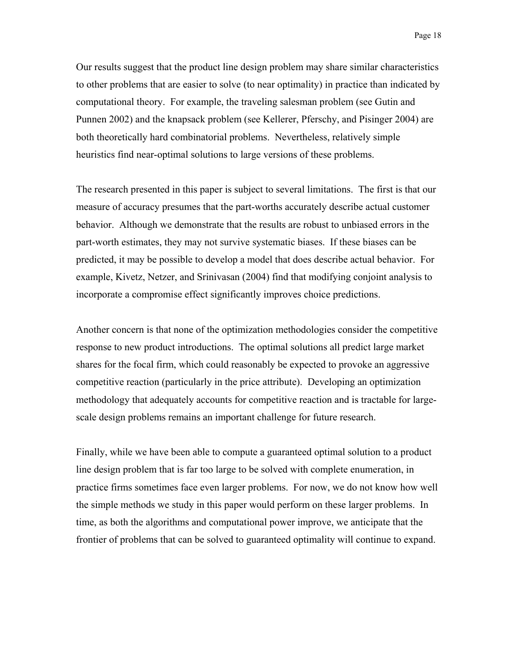Our results suggest that the product line design problem may share similar characteristics to other problems that are easier to solve (to near optimality) in practice than indicated by computational theory. For example, the traveling salesman problem (see Gutin and Punnen 2002) and the knapsack problem (see Kellerer, Pferschy, and Pisinger 2004) are both theoretically hard combinatorial problems. Nevertheless, relatively simple heuristics find near-optimal solutions to large versions of these problems.

The research presented in this paper is subject to several limitations. The first is that our measure of accuracy presumes that the part-worths accurately describe actual customer behavior. Although we demonstrate that the results are robust to unbiased errors in the part-worth estimates, they may not survive systematic biases. If these biases can be predicted, it may be possible to develop a model that does describe actual behavior. For example, Kivetz, Netzer, and Srinivasan (2004) find that modifying conjoint analysis to incorporate a compromise effect significantly improves choice predictions.

Another concern is that none of the optimization methodologies consider the competitive response to new product introductions. The optimal solutions all predict large market shares for the focal firm, which could reasonably be expected to provoke an aggressive competitive reaction (particularly in the price attribute). Developing an optimization methodology that adequately accounts for competitive reaction and is tractable for largescale design problems remains an important challenge for future research.

Finally, while we have been able to compute a guaranteed optimal solution to a product line design problem that is far too large to be solved with complete enumeration, in practice firms sometimes face even larger problems. For now, we do not know how well the simple methods we study in this paper would perform on these larger problems. In time, as both the algorithms and computational power improve, we anticipate that the frontier of problems that can be solved to guaranteed optimality will continue to expand.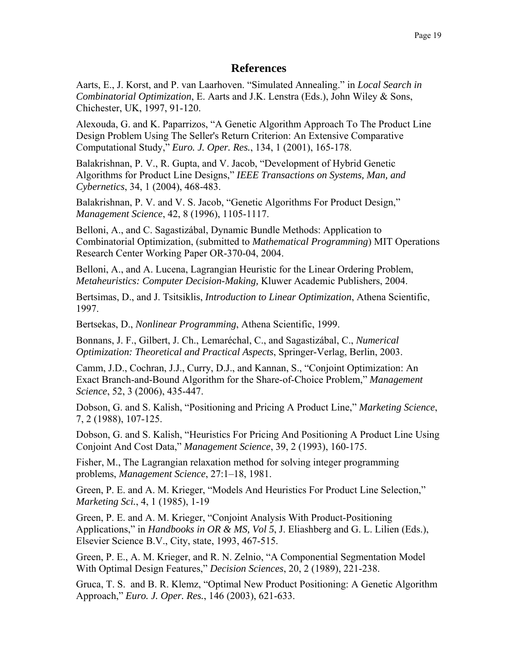#### **References**

Aarts, E., J. Korst, and P. van Laarhoven. "Simulated Annealing." in *Local Search in Combinatorial Optimization*, E. Aarts and J.K. Lenstra (Eds.), John Wiley & Sons, Chichester, UK, 1997, 91-120.

Alexouda, G. and K. Paparrizos, "A Genetic Algorithm Approach To The Product Line Design Problem Using The Seller's Return Criterion: An Extensive Comparative Computational Study," *Euro. J. Oper. Res.*, 134, 1 (2001), 165-178.

Balakrishnan, P. V., R. Gupta, and V. Jacob, "Development of Hybrid Genetic Algorithms for Product Line Designs," *IEEE Transactions on Systems, Man, and Cybernetics*, 34, 1 (2004), 468-483.

Balakrishnan, P. V. and V. S. Jacob, "Genetic Algorithms For Product Design," *Management Science*, 42, 8 (1996), 1105-1117.

Belloni, A., and C. Sagastizábal, Dynamic Bundle Methods: Application to Combinatorial Optimization, (submitted to *Mathematical Programming*) MIT Operations Research Center Working Paper OR-370-04, 2004.

Belloni, A., and A. Lucena, Lagrangian Heuristic for the Linear Ordering Problem, *Metaheuristics: Computer Decision-Making,* Kluwer Academic Publishers, 2004.

Bertsimas, D., and J. Tsitsiklis, *Introduction to Linear Optimization*, Athena Scientific, 1997.

Bertsekas, D., *Nonlinear Programming*, Athena Scientific, 1999.

Bonnans, J. F., Gilbert, J. Ch., Lemaréchal, C., and Sagastizábal, C., *Numerical Optimization: Theoretical and Practical Aspects*, Springer-Verlag, Berlin, 2003.

Camm, J.D., Cochran, J.J., Curry, D.J., and Kannan, S., "Conjoint Optimization: An Exact Branch-and-Bound Algorithm for the Share-of-Choice Problem," *Management Science*, 52, 3 (2006), 435-447.

Dobson, G. and S. Kalish, "Positioning and Pricing A Product Line," *Marketing Science*, 7, 2 (1988), 107-125.

Dobson, G. and S. Kalish, "Heuristics For Pricing And Positioning A Product Line Using Conjoint And Cost Data," *Management Science*, 39, 2 (1993), 160-175.

Fisher, M., The Lagrangian relaxation method for solving integer programming problems, *Management Science*, 27:1–18, 1981.

Green, P. E. and A. M. Krieger, "Models And Heuristics For Product Line Selection," *Marketing Sci.*, 4, 1 (1985), 1-19

Green, P. E. and A. M. Krieger, "Conjoint Analysis With Product-Positioning Applications," in *Handbooks in OR & MS, Vol 5*, J. Eliashberg and G. L. Lilien (Eds.), Elsevier Science B.V., City, state, 1993, 467-515.

Green, P. E., A. M. Krieger, and R. N. Zelnio, "A Componential Segmentation Model With Optimal Design Features," *Decision Sciences*, 20, 2 (1989), 221-238.

Gruca, T. S. and B. R. Klemz, "Optimal New Product Positioning: A Genetic Algorithm Approach," *Euro. J. Oper. Res.*, 146 (2003), 621-633.